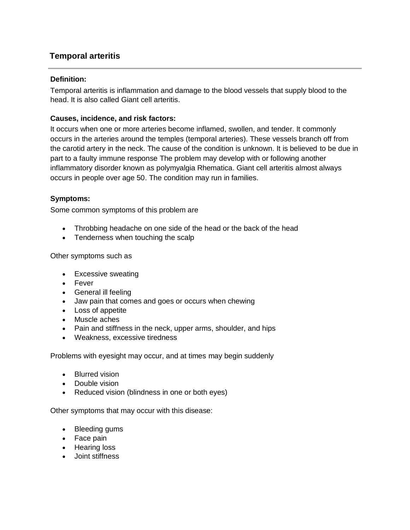# **Temporal arteritis**

#### **Definition:**

Temporal arteritis is inflammation and damage to the blood vessels that supply blood to the head. It is also called Giant cell arteritis.

# **Causes, incidence, and risk factors:**

It occurs when one or more arteries become inflamed, swollen, and tender. It commonly occurs in the arteries around the temples (temporal arteries). These vessels branch off from the carotid artery in the neck. The cause of the condition is unknown. It is believed to be due in part to a faulty immune response The problem may develop with or following another inflammatory disorder known as polymyalgia Rhematica. Giant cell arteritis almost always occurs in people over age 50. The condition may run in families.

# **Symptoms:**

Some common symptoms of this problem are

- Throbbing headache on one side of the head or the back of the head
- Tenderness when touching the scalp

Other symptoms such as

- Excessive sweating
- Fever
- General ill feeling
- Jaw pain that comes and goes or occurs when chewing
- Loss of appetite
- Muscle aches
- Pain and stiffness in the neck, upper arms, shoulder, and hips
- Weakness, excessive tiredness

Problems with eyesight may occur, and at times may begin suddenly

- Blurred vision
- Double vision
- Reduced vision (blindness in one or both eyes)

Other symptoms that may occur with this disease:

- [Bleeding gums](http://www.pennmedicine.org/encyclopedia/em_DisplayArticle.aspx?gcid=003062&ptid=1)
- [Face pain](http://www.pennmedicine.org/encyclopedia/em_DisplayArticle.aspx?gcid=003027&ptid=1)
- [Hearing loss](http://www.pennmedicine.org/encyclopedia/em_DisplayArticle.aspx?gcid=003044&ptid=1)
- [Joint stiffness](http://www.pennmedicine.org/encyclopedia/em_DisplayArticle.aspx?gcid=003261&ptid=1)